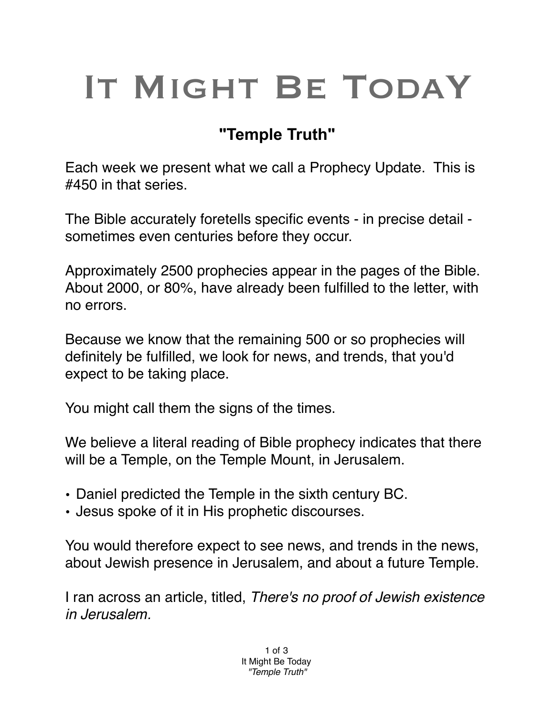## IT MIGHT BE TODAY

## **"Temple Truth"**

Each week we present what we call a Prophecy Update. This is #450 in that series.

The Bible accurately foretells specific events - in precise detail sometimes even centuries before they occur.

Approximately 2500 prophecies appear in the pages of the Bible. About 2000, or 80%, have already been fulfilled to the letter, with no errors.

Because we know that the remaining 500 or so prophecies will definitely be fulfilled, we look for news, and trends, that you'd expect to be taking place.

You might call them the signs of the times.

We believe a literal reading of Bible prophecy indicates that there will be a Temple, on the Temple Mount, in Jerusalem.

- Daniel predicted the Temple in the sixth century BC.
- Jesus spoke of it in His prophetic discourses.

You would therefore expect to see news, and trends in the news, about Jewish presence in Jerusalem, and about a future Temple.

I ran across an article, titled, *There's no proof of Jewish existence in Jerusalem.*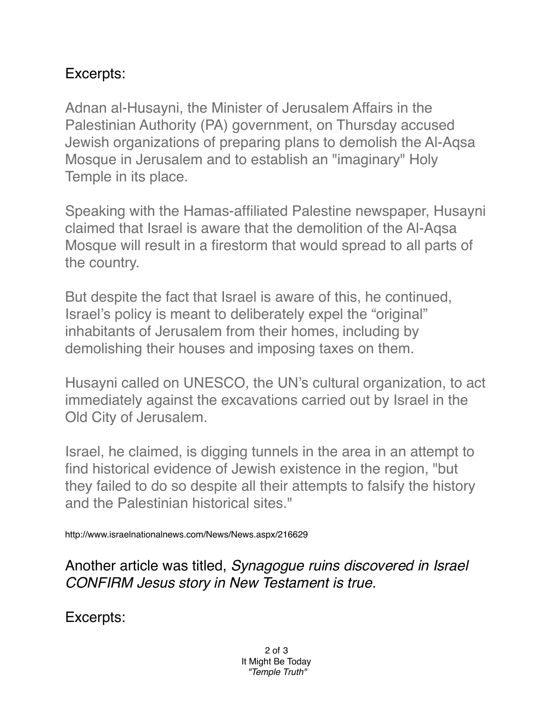## Excerpts:

Adnan al-Husayni, the Minister of Jerusalem Affairs in the Palestinian Authority (PA) government, on Thursday accused Jewish organizations of preparing plans to demolish the Al-Aqsa Mosque in Jerusalem and to establish an "imaginary" Holy Temple in its place.

Speaking with the Hamas-affiliated Palestine newspaper, Husayni claimed that Israel is aware that the demolition of the Al-Aqsa Mosque will result in a firestorm that would spread to all parts of the country.

But despite the fact that Israel is aware of this, he continued, Israel's policy is meant to deliberately expel the "original" inhabitants of Jerusalem from their homes, including by demolishing their houses and imposing taxes on them.

Husayni called on UNESCO, the UN's cultural organization, to act immediately against the excavations carried out by Israel in the Old City of Jerusalem.

Israel, he claimed, is digging tunnels in the area in an attempt to find historical evidence of Jewish existence in the region, "but they failed to do so despite all their attempts to falsify the history and the Palestinian historical sites."

http://www.israelnationalnews.com/News/News.aspx/216629

Another article was titled, *Synagogue ruins discovered in Israel CONFIRM Jesus story in New Testament is true.*

Excerpts: